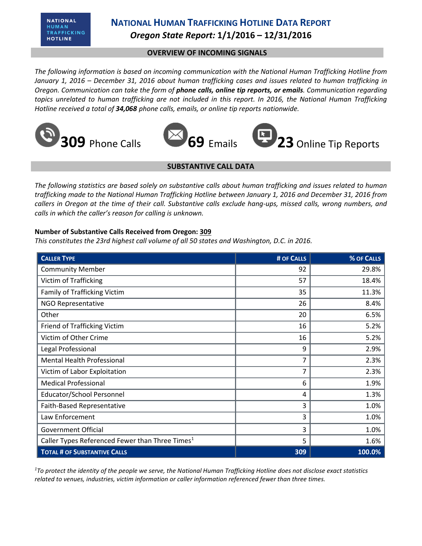# **NATIONAL HUMAN TRAFFICKING HOTLINE DATA REPORT** *Oregon State Report:* **1/1/2016 – 12/31/2016**

## **OVERVIEW OF INCOMING SIGNALS**

*The following information is based on incoming communication with the National Human Trafficking Hotline from January 1, 2016 – December 31, 2016 about human trafficking cases and issues related to human trafficking in Oregon. Communication can take the form of phone calls, online tip reports, or emails. Communication regarding topics unrelated to human trafficking are not included in this report. In 2016, the National Human Trafficking Hotline received a total of 34,068 phone calls, emails, or online tip reports nationwide.*









## **SUBSTANTIVE CALL DATA**

*The following statistics are based solely on substantive calls about human trafficking and issues related to human trafficking made to the National Human Trafficking Hotline between January 1, 2016 and December 31, 2016 from callers in Oregon at the time of their call. Substantive calls exclude hang-ups, missed calls, wrong numbers, and calls in which the caller's reason for calling is unknown.*

### **Number of Substantive Calls Received from Oregon: 309**

*This constitutes the 23rd highest call volume of all 50 states and Washington, D.C. in 2016.*

| <b>CALLER TYPE</b>                                          | # OF CALLS | % OF CALLS |
|-------------------------------------------------------------|------------|------------|
| <b>Community Member</b>                                     | 92         | 29.8%      |
| Victim of Trafficking                                       | 57         | 18.4%      |
| <b>Family of Trafficking Victim</b>                         | 35         | 11.3%      |
| <b>NGO Representative</b>                                   | 26         | 8.4%       |
| Other                                                       | 20         | 6.5%       |
| Friend of Trafficking Victim                                | 16         | 5.2%       |
| Victim of Other Crime                                       | 16         | 5.2%       |
| Legal Professional                                          | 9          | 2.9%       |
| <b>Mental Health Professional</b>                           | 7          | 2.3%       |
| Victim of Labor Exploitation                                | 7          | 2.3%       |
| <b>Medical Professional</b>                                 | 6          | 1.9%       |
| Educator/School Personnel                                   | 4          | 1.3%       |
| Faith-Based Representative                                  | 3          | 1.0%       |
| Law Enforcement                                             | 3          | 1.0%       |
| <b>Government Official</b>                                  | 3          | 1.0%       |
| Caller Types Referenced Fewer than Three Times <sup>1</sup> | 5          | 1.6%       |
| <b>TOTAL # OF SUBSTANTIVE CALLS</b>                         | 309        | 100.0%     |

*<sup>1</sup>To protect the identity of the people we serve, the National Human Trafficking Hotline does not disclose exact statistics related to venues, industries, victim information or caller information referenced fewer than three times.*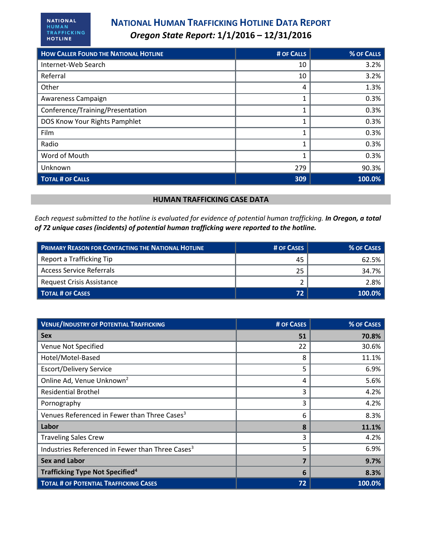# **NATIONAL HUMAN TRAFFICKING HOTLINE DATA REPORT** *Oregon State Report:* **1/1/2016 – 12/31/2016**

| <b>HOW CALLER FOUND THE NATIONAL HOTLINE</b> | # OF CALLS | % OF CALLS |
|----------------------------------------------|------------|------------|
| Internet-Web Search                          | 10         | 3.2%       |
| Referral                                     | 10         | 3.2%       |
| Other                                        | 4          | 1.3%       |
| Awareness Campaign                           | 1          | 0.3%       |
| Conference/Training/Presentation             | 1          | 0.3%       |
| DOS Know Your Rights Pamphlet                | 1          | 0.3%       |
| Film                                         | 1          | 0.3%       |
| Radio                                        | 1          | 0.3%       |
| Word of Mouth                                |            | 0.3%       |
| Unknown                                      | 279        | 90.3%      |
| <b>TOTAL # OF CALLS</b>                      | 309        | 100.0%     |

### **HUMAN TRAFFICKING CASE DATA**

*Each request submitted to the hotline is evaluated for evidence of potential human trafficking. In Oregon, a total of 72 unique cases (incidents) of potential human trafficking were reported to the hotline.*

| <b>PRIMARY REASON FOR CONTACTING THE NATIONAL HOTLINE</b> | # OF CASES | % OF CASES |
|-----------------------------------------------------------|------------|------------|
| Report a Trafficking Tip                                  | 45         | 62.5%      |
| <b>Access Service Referrals</b>                           | 25         | 34.7%      |
| Request Crisis Assistance                                 |            | 2.8%       |
| <b>TOTAL # OF CASES</b>                                   | 72         | $100.0\%$  |

| <b>VENUE/INDUSTRY OF POTENTIAL TRAFFICKING</b>               | # OF CASES | % OF CASES |
|--------------------------------------------------------------|------------|------------|
| <b>Sex</b>                                                   | 51         | 70.8%      |
| Venue Not Specified                                          | 22         | 30.6%      |
| Hotel/Motel-Based                                            | 8          | 11.1%      |
| <b>Escort/Delivery Service</b>                               | 5          | 6.9%       |
| Online Ad, Venue Unknown <sup>2</sup>                        | 4          | 5.6%       |
| <b>Residential Brothel</b>                                   | 3          | 4.2%       |
| Pornography                                                  | 3          | 4.2%       |
| Venues Referenced in Fewer than Three Cases <sup>3</sup>     | 6          | 8.3%       |
| Labor                                                        | 8          | 11.1%      |
| <b>Traveling Sales Crew</b>                                  | 3          | 4.2%       |
| Industries Referenced in Fewer than Three Cases <sup>3</sup> | 5          | 6.9%       |
| <b>Sex and Labor</b>                                         | 7          | 9.7%       |
| <b>Trafficking Type Not Specified</b> <sup>4</sup>           | 6          | 8.3%       |
| <b>TOTAL # OF POTENTIAL TRAFFICKING CASES</b>                | 72         | 100.0%     |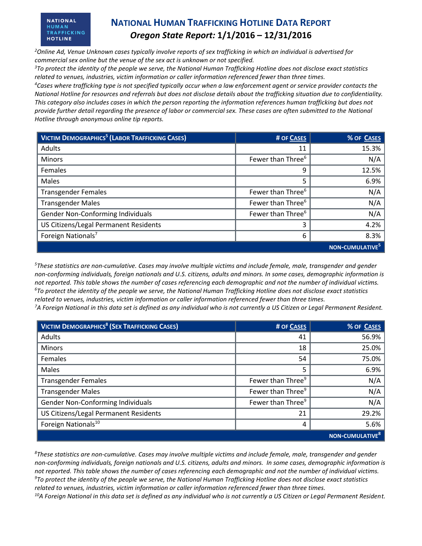#### **NATIONAL HUMAN** TRAFFICKING **HOTLINE**

## **NATIONAL HUMAN TRAFFICKING HOTLINE DATA REPORT** *Oregon State Report:* **1/1/2016 – 12/31/2016**

*<sup>2</sup>Online Ad, Venue Unknown cases typically involve reports of sex trafficking in which an individual is advertised for commercial sex online but the venue of the sex act is unknown or not specified.*

*<sup>3</sup>To protect the identity of the people we serve, the National Human Trafficking Hotline does not disclose exact statistics related to venues, industries, victim information or caller information referenced fewer than three times.* 

*<sup>4</sup>Cases where trafficking type is not specified typically occur when a law enforcement agent or service provider contacts the National Hotline for resources and referrals but does not disclose details about the trafficking situation due to confidentiality. This category also includes cases in which the person reporting the information references human trafficking but does not provide further detail regarding the presence of labor or commercial sex. These cases are often submitted to the National Hotline through anonymous online tip reports.*

| <b>VICTIM DEMOGRAPHICS<sup>5</sup> (LABOR TRAFFICKING CASES)</b> | # OF CASES                    | % OF CASES                  |
|------------------------------------------------------------------|-------------------------------|-----------------------------|
| Adults                                                           | 11                            | 15.3%                       |
| <b>Minors</b>                                                    | Fewer than Three <sup>6</sup> | N/A                         |
| Females                                                          | 9                             | 12.5%                       |
| Males                                                            | 5                             | 6.9%                        |
| <b>Transgender Females</b>                                       | Fewer than Three <sup>6</sup> | N/A                         |
| <b>Transgender Males</b>                                         | Fewer than Three <sup>6</sup> | N/A                         |
| Gender Non-Conforming Individuals                                | Fewer than Three <sup>6</sup> | N/A                         |
| US Citizens/Legal Permanent Residents                            | 3                             | 4.2%                        |
| Foreign Nationals <sup>7</sup>                                   | 6                             | 8.3%                        |
|                                                                  |                               | NON-CUMULATIVE <sup>5</sup> |

*<sup>5</sup>These statistics are non-cumulative. Cases may involve multiple victims and include female, male, transgender and gender non-conforming individuals, foreign nationals and U.S. citizens, adults and minors. In some cases, demographic information is not reported. This table shows the number of cases referencing each demographic and not the number of individual victims. <sup>6</sup>To protect the identity of the people we serve, the National Human Trafficking Hotline does not disclose exact statistics related to venues, industries, victim information or caller information referenced fewer than three times.* 

*<sup>7</sup>A Foreign National in this data set is defined as any individual who is not currently a US Citizen or Legal Permanent Resident.* 

| <b>VICTIM DEMOGRAPHICS<sup>8</sup> (SEX TRAFFICKING CASES)</b> | # OF CASES                    | % OF CASES                         |
|----------------------------------------------------------------|-------------------------------|------------------------------------|
| <b>Adults</b>                                                  | 41                            | 56.9%                              |
| <b>Minors</b>                                                  | 18                            | 25.0%                              |
| Females                                                        | 54                            | 75.0%                              |
| Males                                                          | 5                             | 6.9%                               |
| <b>Transgender Females</b>                                     | Fewer than Three <sup>9</sup> | N/A                                |
| <b>Transgender Males</b>                                       | Fewer than Three <sup>9</sup> | N/A                                |
| Gender Non-Conforming Individuals                              | Fewer than Three <sup>9</sup> | N/A                                |
| US Citizens/Legal Permanent Residents                          | 21                            | 29.2%                              |
| Foreign Nationals <sup>10</sup>                                | 4                             | 5.6%                               |
|                                                                |                               | <b>NON-CUMULATIVE</b> <sup>8</sup> |

*<sup>8</sup>These statistics are non-cumulative. Cases may involve multiple victims and include female, male, transgender and gender non-conforming individuals, foreign nationals and U.S. citizens, adults and minors. In some cases, demographic information is not reported. This table shows the number of cases referencing each demographic and not the number of individual victims. <sup>9</sup>To protect the identity of the people we serve, the National Human Trafficking Hotline does not disclose exact statistics related to venues, industries, victim information or caller information referenced fewer than three times. 10A Foreign National in this data set is defined as any individual who is not currently a US Citizen or Legal Permanent Resident.*